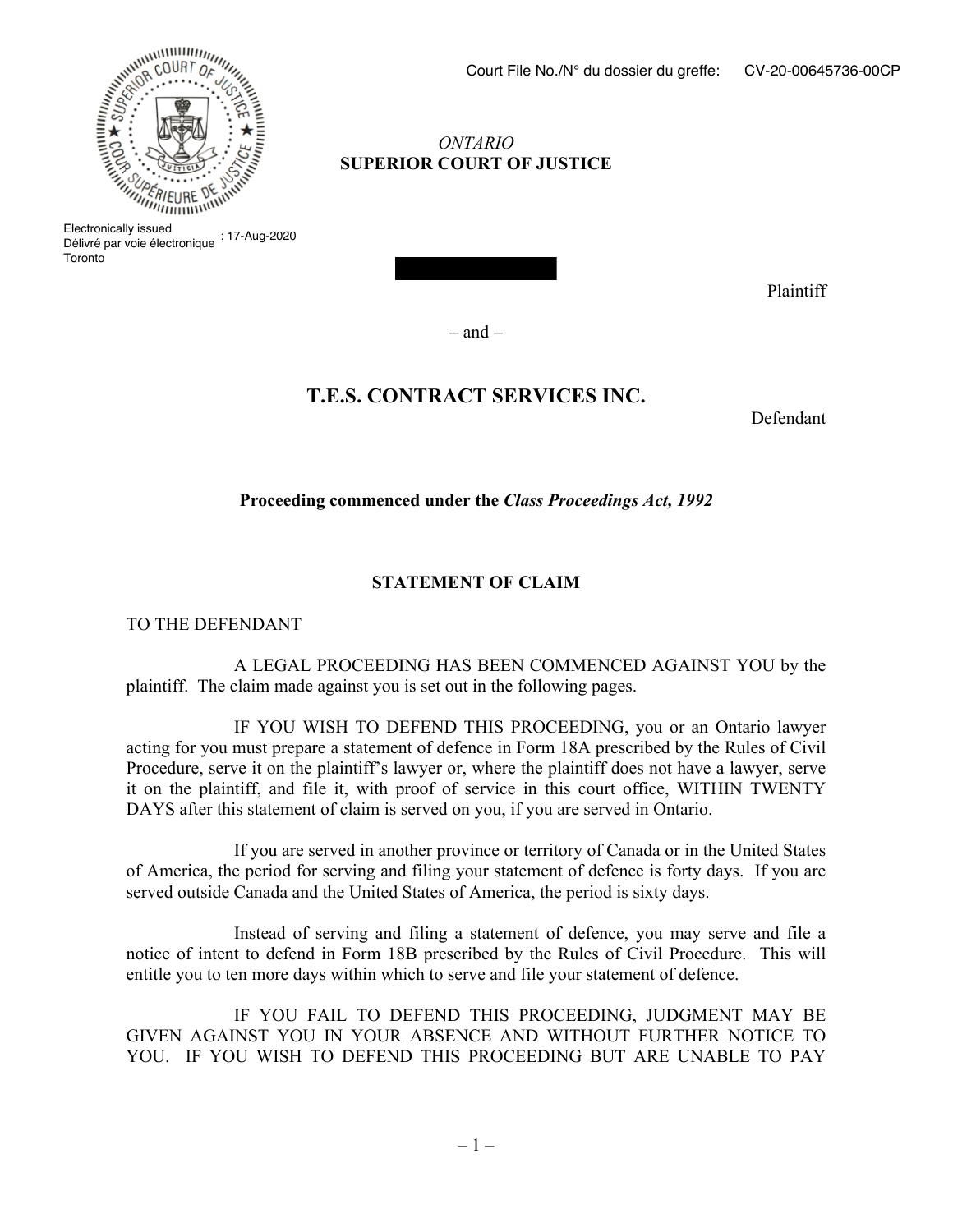# *ONTARIO* **SUPERIOR COURT OF JUSTICE**

 $\mathsf B$  issued Délivré par voie électronique : 17-Aug-2020 Toronto

Plaintiff

 $-$  and  $-$ 

# **T.E.S. CONTRACT SERVICES INC.**

Defendant

**Proceeding commenced under the** *Class Proceedings Act, 1992*

# **STATEMENT OF CLAIM**

TO THE DEFENDANT

A LEGAL PROCEEDING HAS BEEN COMMENCED AGAINST YOU by the plaintiff. The claim made against you is set out in the following pages.

IF YOU WISH TO DEFEND THIS PROCEEDING, you or an Ontario lawyer acting for you must prepare a statement of defence in Form 18A prescribed by the Rules of Civil Procedure, serve it on the plaintiff's lawyer or, where the plaintiff does not have a lawyer, serve it on the plaintiff, and file it, with proof of service in this court office, WITHIN TWENTY DAYS after this statement of claim is served on you, if you are served in Ontario.

If you are served in another province or territory of Canada or in the United States of America, the period for serving and filing your statement of defence is forty days. If you are served outside Canada and the United States of America, the period is sixty days.

Instead of serving and filing a statement of defence, you may serve and file a notice of intent to defend in Form 18B prescribed by the Rules of Civil Procedure. This will entitle you to ten more days within which to serve and file your statement of defence.

IF YOU FAIL TO DEFEND THIS PROCEEDING, JUDGMENT MAY BE GIVEN AGAINST YOU IN YOUR ABSENCE AND WITHOUT FURTHER NOTICE TO YOU. IF YOU WISH TO DEFEND THIS PROCEEDING BUT ARE UNABLE TO PAY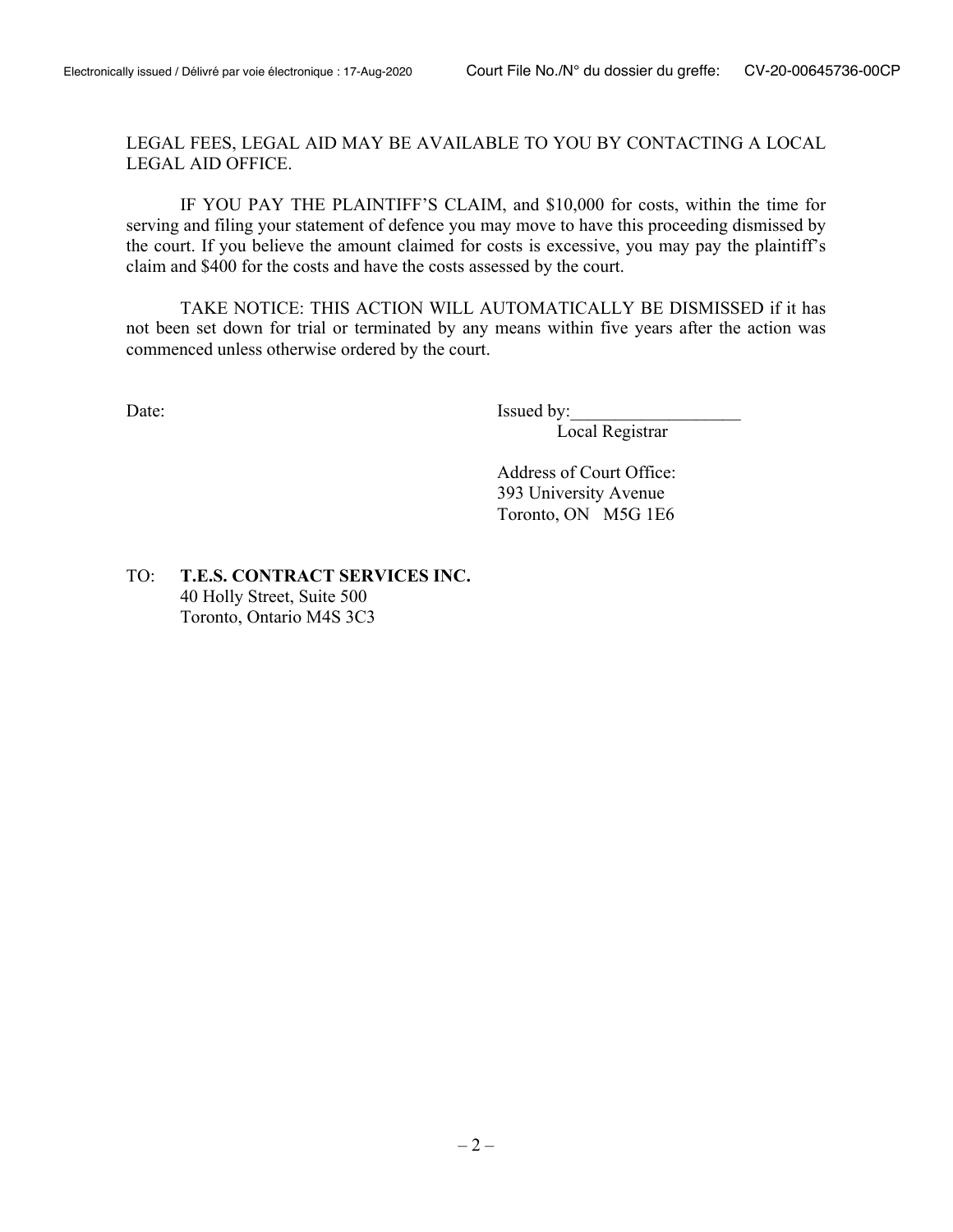LEGAL FEES, LEGAL AID MAY BE AVAILABLE TO YOU BY CONTACTING A LOCAL LEGAL AID OFFICE.

IF YOU PAY THE PLAINTIFF'S CLAIM, and \$10,000 for costs, within the time for serving and filing your statement of defence you may move to have this proceeding dismissed by the court. If you believe the amount claimed for costs is excessive, you may pay the plaintiff's claim and \$400 for the costs and have the costs assessed by the court.

TAKE NOTICE: THIS ACTION WILL AUTOMATICALLY BE DISMISSED if it has not been set down for trial or terminated by any means within five years after the action was commenced unless otherwise ordered by the court.

Date: Issued by:

Local Registrar

Address of Court Office: 393 University Avenue Toronto, ON M5G 1E6

TO: **T.E.S. CONTRACT SERVICES INC.** 40 Holly Street, Suite 500 Toronto, Ontario M4S 3C3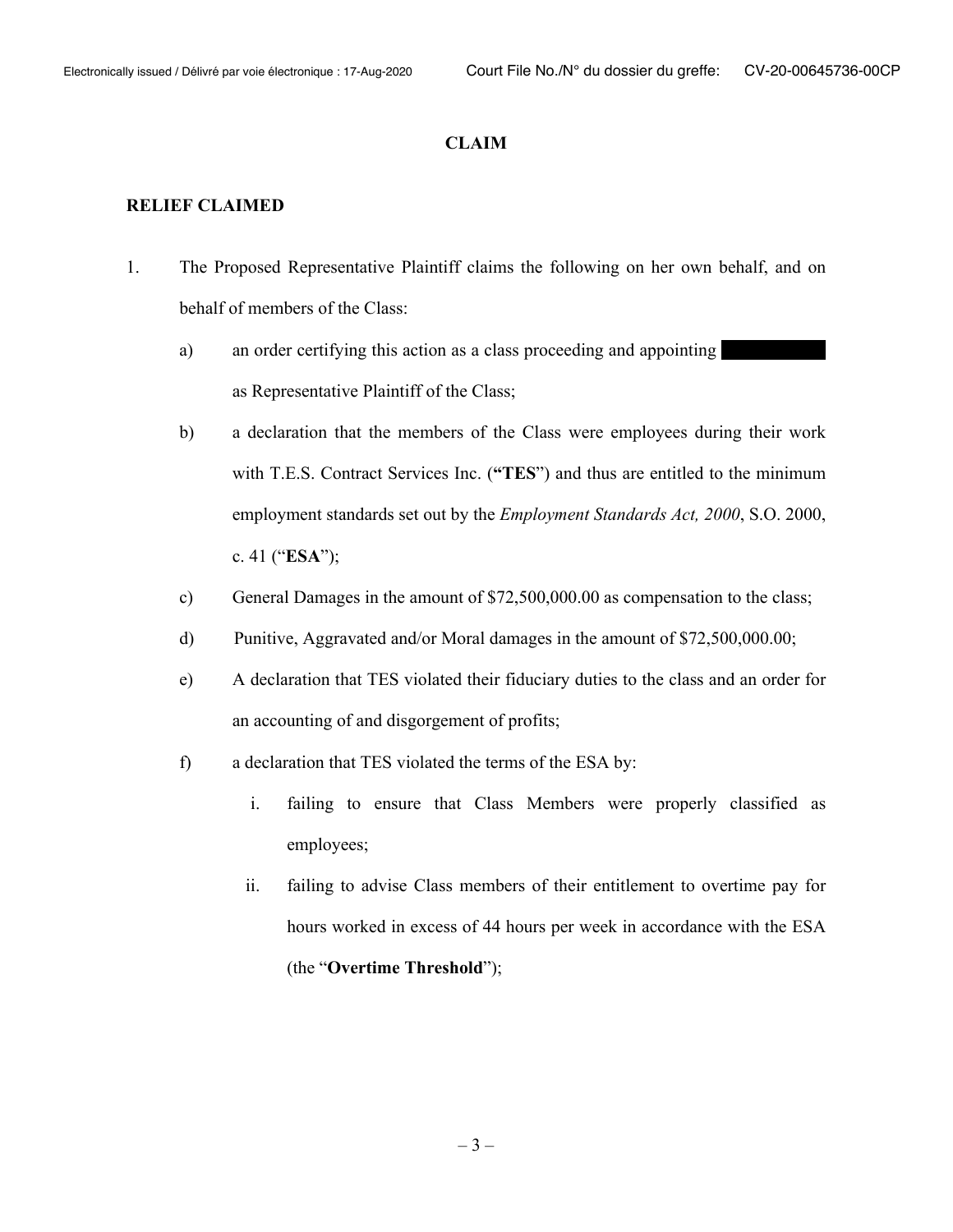#### **CLAIM**

#### **RELIEF CLAIMED**

- 1. The Proposed Representative Plaintiff claims the following on her own behalf, and on behalf of members of the Class:
	- a) an order certifying this action as a class proceeding and appointing as Representative Plaintiff of the Class;
	- b) a declaration that the members of the Class were employees during their work with T.E.S. Contract Services Inc. (**"TES**") and thus are entitled to the minimum employment standards set out by the *Employment Standards Act, 2000*, S.O. 2000, c. 41 ("**ESA**");
	- c) General Damages in the amount of \$72,500,000.00 as compensation to the class;
	- d) Punitive, Aggravated and/or Moral damages in the amount of \$72,500,000.00;
	- e) A declaration that TES violated their fiduciary duties to the class and an order for an accounting of and disgorgement of profits;
	- f) a declaration that TES violated the terms of the ESA by:
		- i. failing to ensure that Class Members were properly classified as employees;
		- ii. failing to advise Class members of their entitlement to overtime pay for hours worked in excess of 44 hours per week in accordance with the ESA (the "**Overtime Threshold**");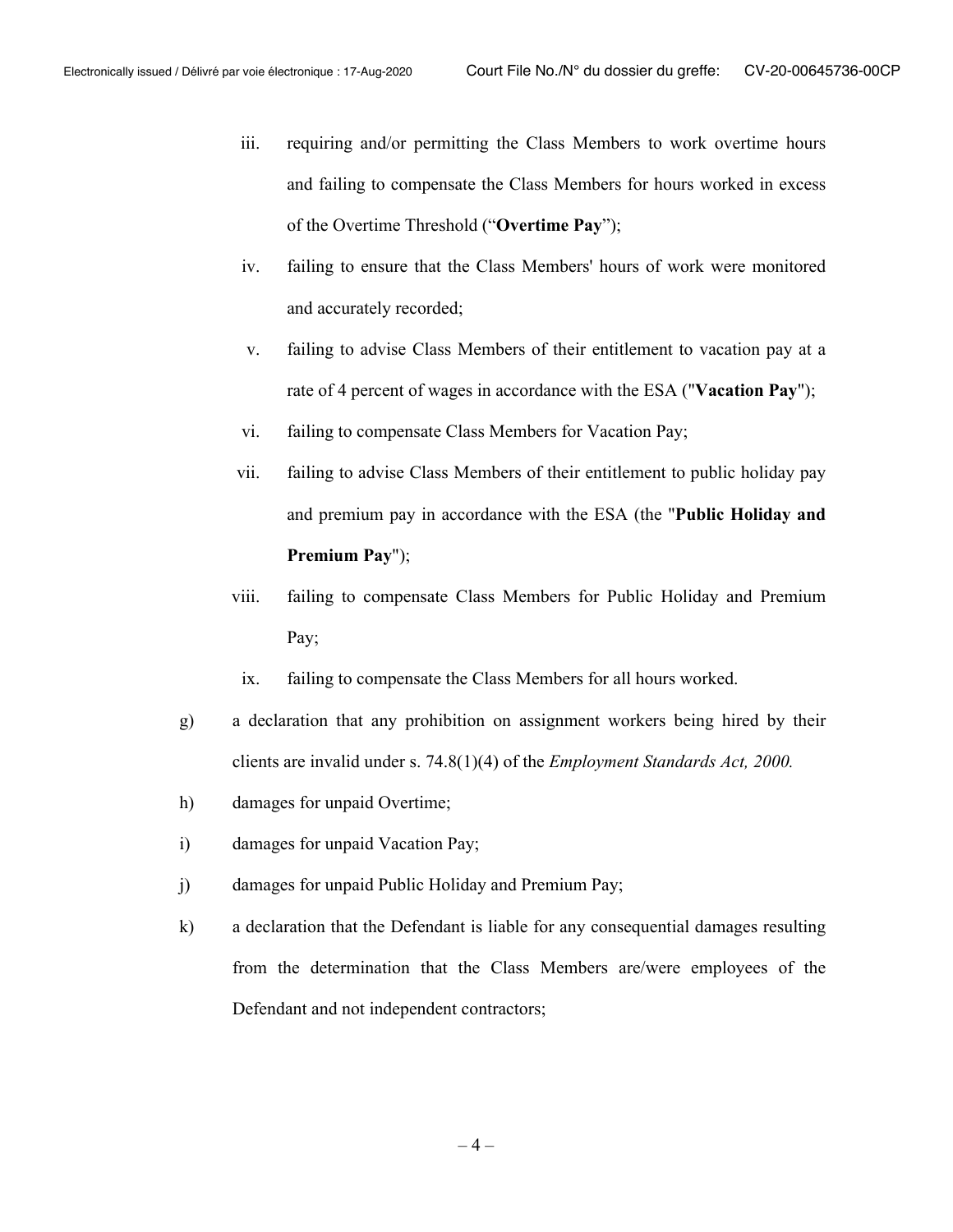- iii. requiring and/or permitting the Class Members to work overtime hours and failing to compensate the Class Members for hours worked in excess of the Overtime Threshold ("**Overtime Pay**");
- iv. failing to ensure that the Class Members' hours of work were monitored and accurately recorded;
- v. failing to advise Class Members of their entitlement to vacation pay at a rate of 4 percent of wages in accordance with the ESA ("**Vacation Pay**");
- vi. failing to compensate Class Members for Vacation Pay;
- vii. failing to advise Class Members of their entitlement to public holiday pay and premium pay in accordance with the ESA (the "**Public Holiday and Premium Pay**");
- viii. failing to compensate Class Members for Public Holiday and Premium Pay;
- ix. failing to compensate the Class Members for all hours worked.
- g) a declaration that any prohibition on assignment workers being hired by their clients are invalid under s. 74.8(1)(4) of the *Employment Standards Act, 2000.*
- h) damages for unpaid Overtime;
- i) damages for unpaid Vacation Pay;
- j) damages for unpaid Public Holiday and Premium Pay;
- k) a declaration that the Defendant is liable for any consequential damages resulting from the determination that the Class Members are/were employees of the Defendant and not independent contractors;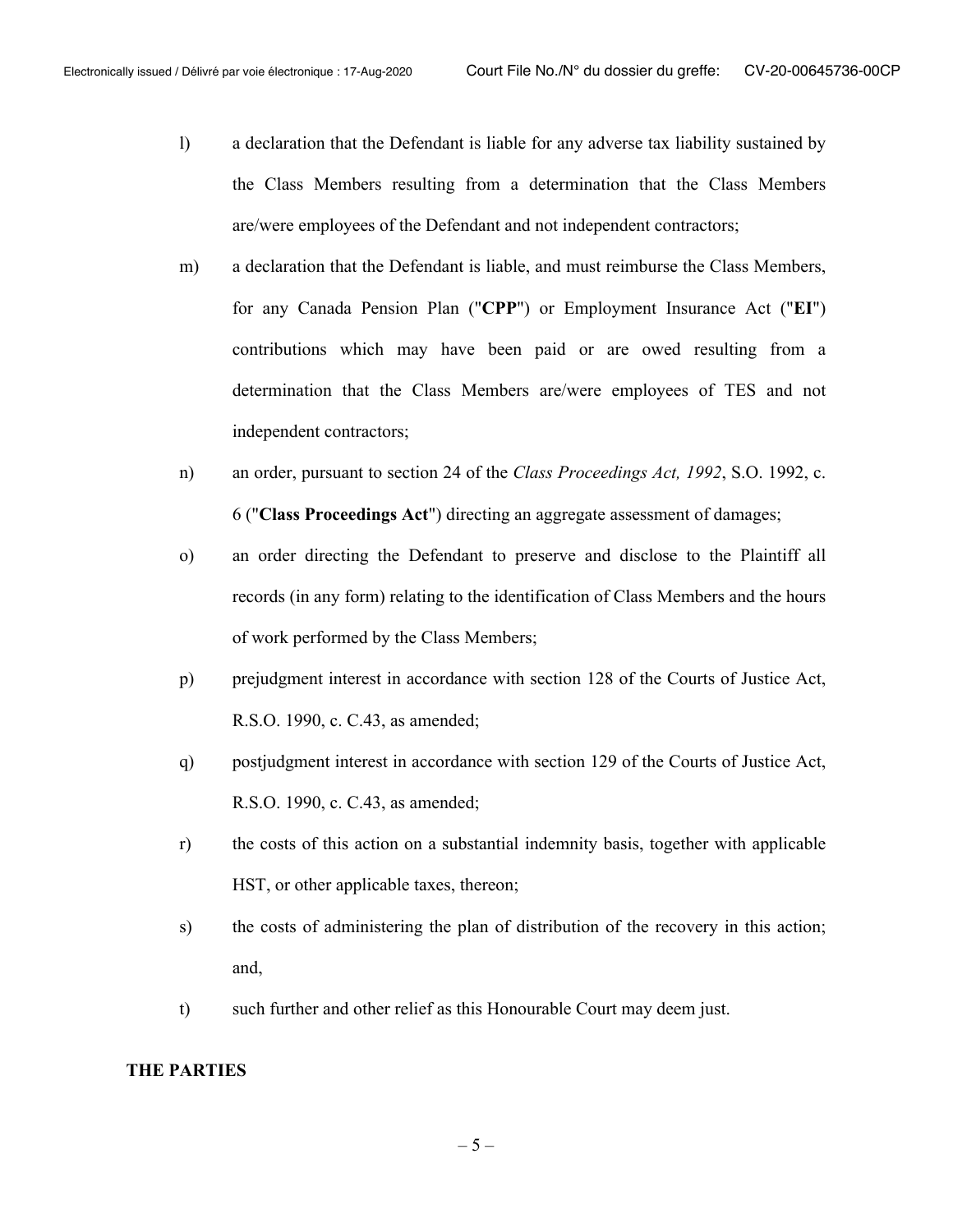- l) a declaration that the Defendant is liable for any adverse tax liability sustained by the Class Members resulting from a determination that the Class Members are/were employees of the Defendant and not independent contractors;
- m) a declaration that the Defendant is liable, and must reimburse the Class Members, for any Canada Pension Plan ("**CPP**") or Employment Insurance Act ("**EI**") contributions which may have been paid or are owed resulting from a determination that the Class Members are/were employees of TES and not independent contractors;
- n) an order, pursuant to section 24 of the *Class Proceedings Act, 1992*, S.O. 1992, c. 6 ("**Class Proceedings Act**") directing an aggregate assessment of damages;
- o) an order directing the Defendant to preserve and disclose to the Plaintiff all records (in any form) relating to the identification of Class Members and the hours of work performed by the Class Members;
- p) prejudgment interest in accordance with section 128 of the Courts of Justice Act, R.S.O. 1990, c. C.43, as amended;
- q) postjudgment interest in accordance with section 129 of the Courts of Justice Act, R.S.O. 1990, c. C.43, as amended;
- r) the costs of this action on a substantial indemnity basis, together with applicable HST, or other applicable taxes, thereon;
- s) the costs of administering the plan of distribution of the recovery in this action; and,
- t) such further and other relief as this Honourable Court may deem just.

## **THE PARTIES**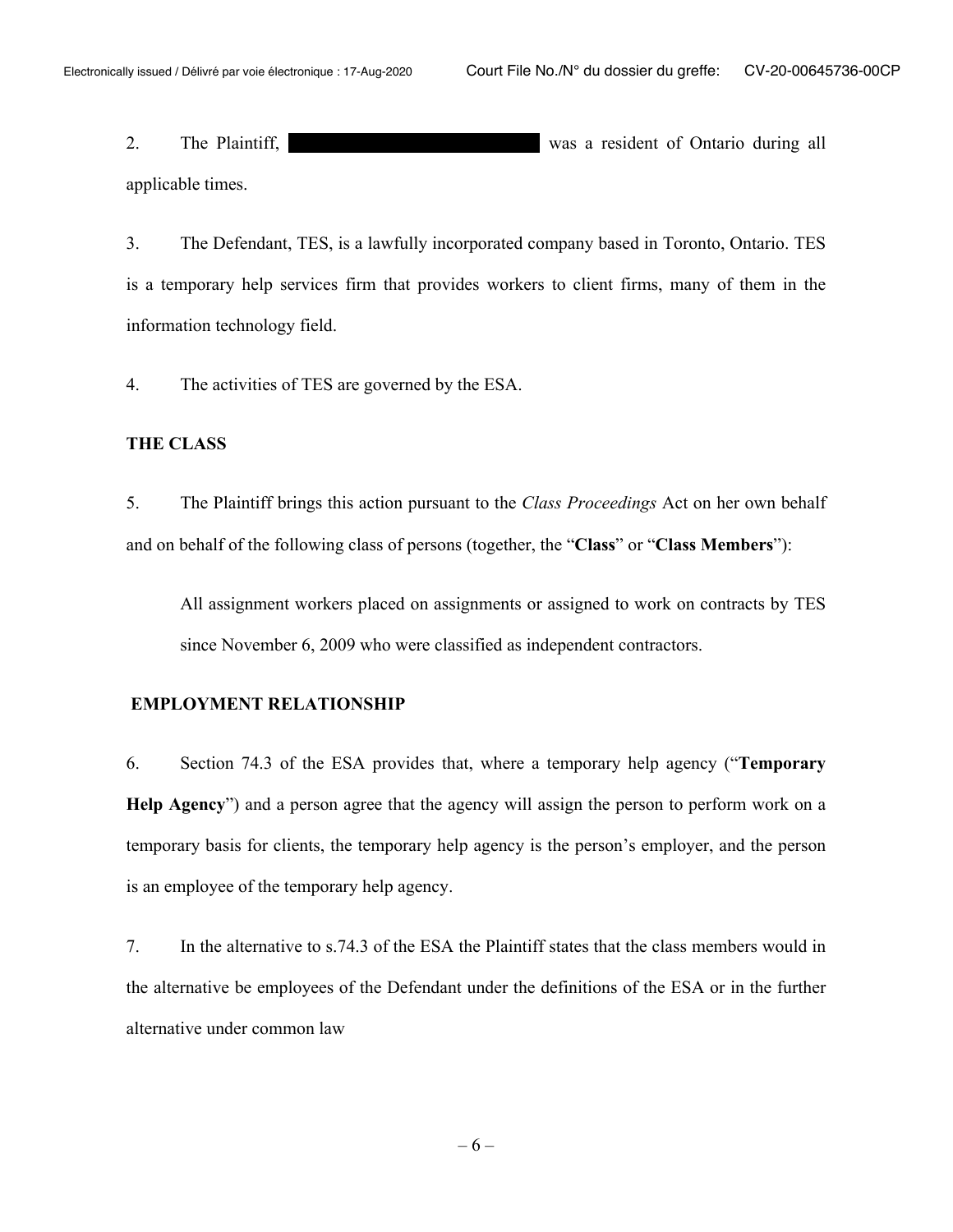2. The Plaintiff, The Plaintiff, The Plaintiff, The Plaintiff, The Plaintiff, The Plaintiff, The Plaintiff, The Plaintiff, The Plaintiff, The Plaintiff, The Plaintiff, The Plaintiff, The Plaintiff, The Plaintiff, The Plain applicable times.

3. The Defendant, TES, is a lawfully incorporated company based in Toronto, Ontario. TES is a temporary help services firm that provides workers to client firms, many of them in the information technology field.

4. The activities of TES are governed by the ESA.

#### **THE CLASS**

5. The Plaintiff brings this action pursuant to the *Class Proceedings* Act on her own behalf and on behalf of the following class of persons (together, the "**Class**" or "**Class Members**"):

All assignment workers placed on assignments or assigned to work on contracts by TES since November 6, 2009 who were classified as independent contractors.

#### **EMPLOYMENT RELATIONSHIP**

6. Section 74.3 of the ESA provides that, where a temporary help agency ("**Temporary Help Agency**") and a person agree that the agency will assign the person to perform work on a temporary basis for clients, the temporary help agency is the person's employer, and the person is an employee of the temporary help agency.

7. In the alternative to s.74.3 of the ESA the Plaintiff states that the class members would in the alternative be employees of the Defendant under the definitions of the ESA or in the further alternative under common law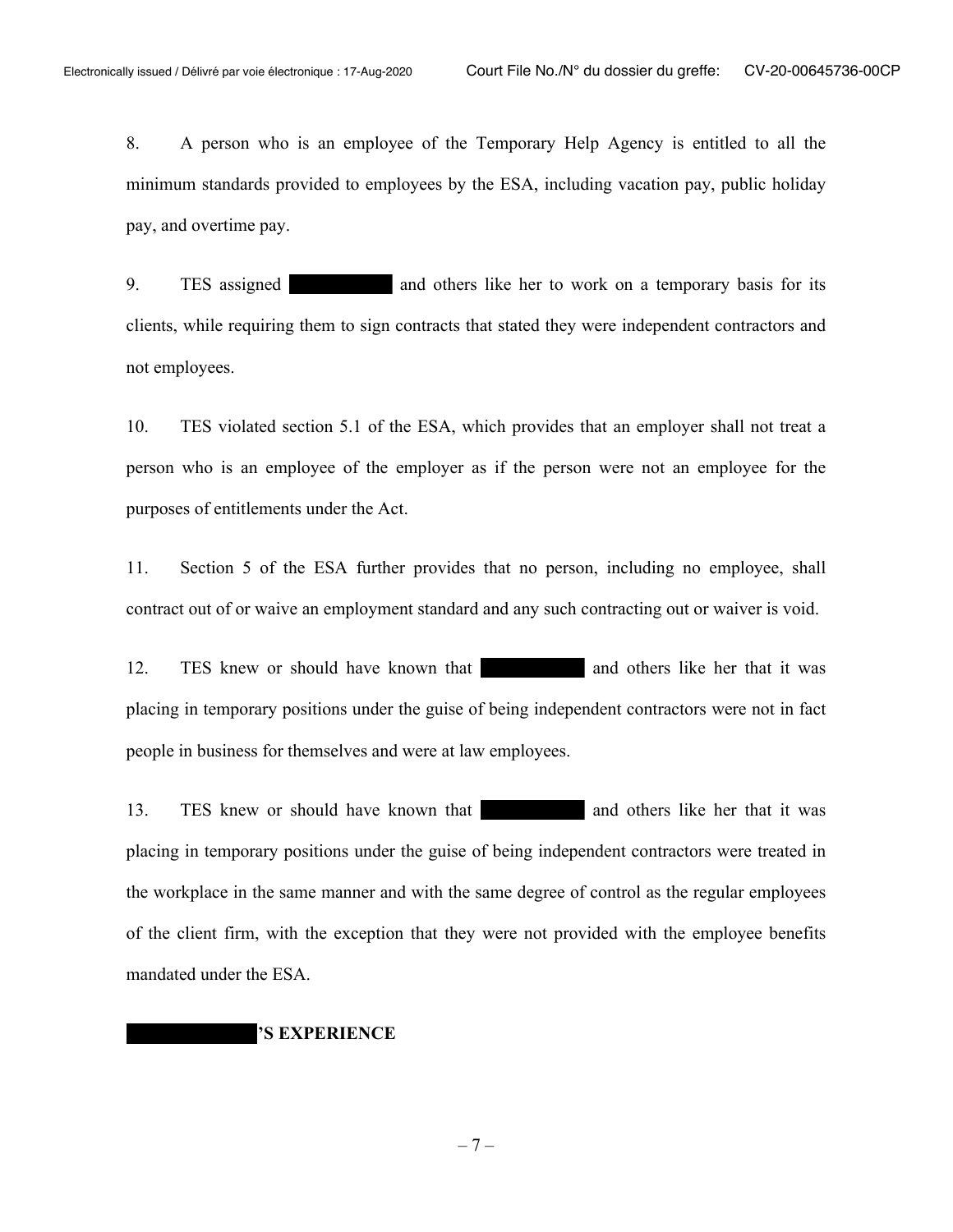8. A person who is an employee of the Temporary Help Agency is entitled to all the minimum standards provided to employees by the ESA, including vacation pay, public holiday pay, and overtime pay.

9. TES assigned and others like her to work on a temporary basis for its clients, while requiring them to sign contracts that stated they were independent contractors and not employees.

10. TES violated section 5.1 of the ESA, which provides that an employer shall not treat a person who is an employee of the employer as if the person were not an employee for the purposes of entitlements under the Act.

11. Section 5 of the ESA further provides that no person, including no employee, shall contract out of or waive an employment standard and any such contracting out or waiver is void.

12. TES knew or should have known that and others like her that it was placing in temporary positions under the guise of being independent contractors were not in fact people in business for themselves and were at law employees.

13. TES knew or should have known that and others like her that it was placing in temporary positions under the guise of being independent contractors were treated in the workplace in the same manner and with the same degree of control as the regular employees of the client firm, with the exception that they were not provided with the employee benefits mandated under the ESA.

#### **'S EXPERIENCE**

 $-7-$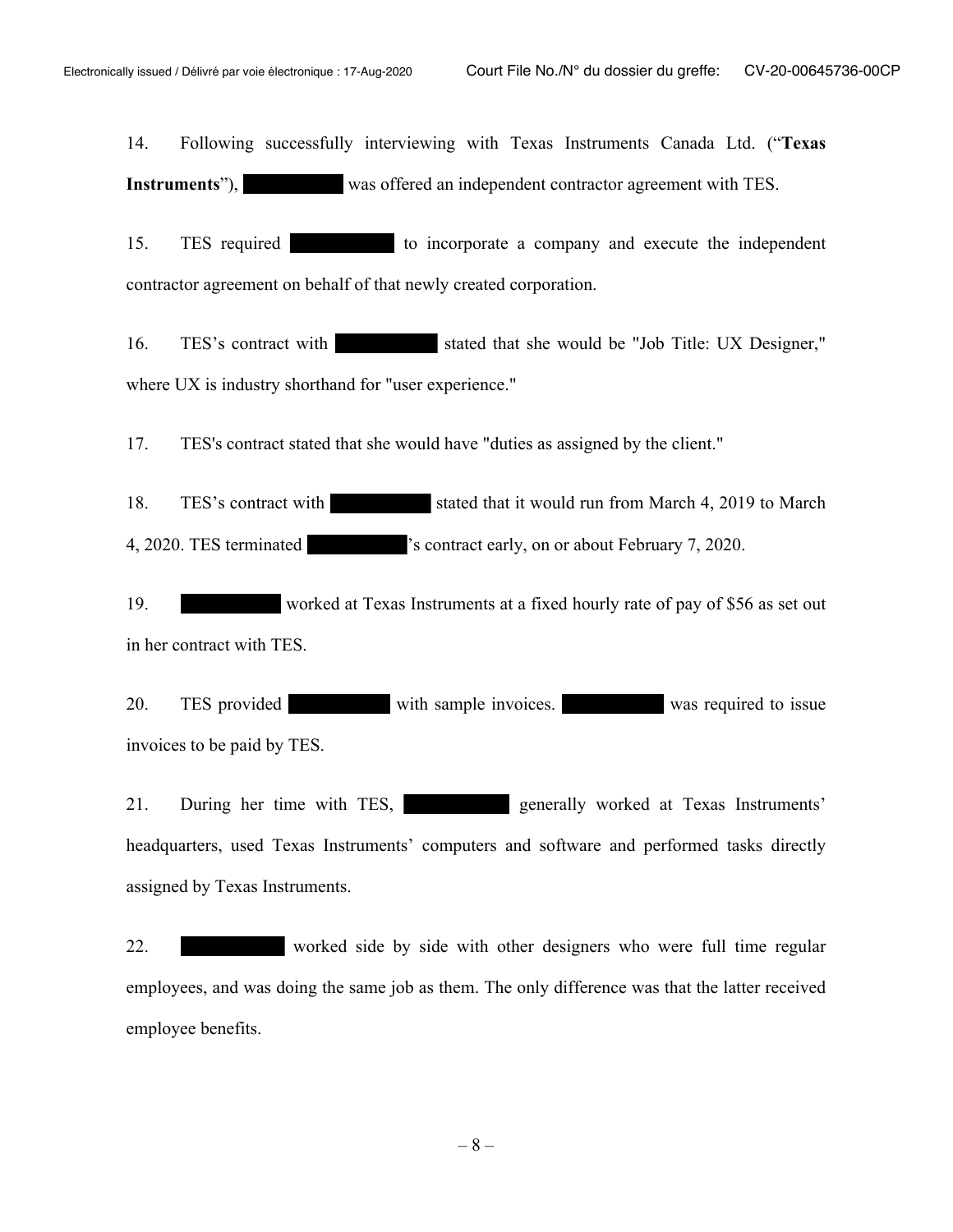14. Following successfully interviewing with Texas Instruments Canada Ltd. ("**Texas Instruments**"), was offered an independent contractor agreement with TES.

15. TES required to incorporate a company and execute the independent contractor agreement on behalf of that newly created corporation.

16. TES's contract with stated that she would be "Job Title: UX Designer," where UX is industry shorthand for "user experience."

17. TES's contract stated that she would have "duties as assigned by the client."

18. TES's contract with stated that it would run from March 4, 2019 to March 4, 2020. TES terminated 's contract early, on or about February 7, 2020.

19. worked at Texas Instruments at a fixed hourly rate of pay of \$56 as set out in her contract with TES.

20. TES provided with sample invoices. was required to issue invoices to be paid by TES.

21. During her time with TES, generally worked at Texas Instruments' headquarters, used Texas Instruments' computers and software and performed tasks directly assigned by Texas Instruments.

22. worked side by side with other designers who were full time regular employees, and was doing the same job as them. The only difference was that the latter received employee benefits.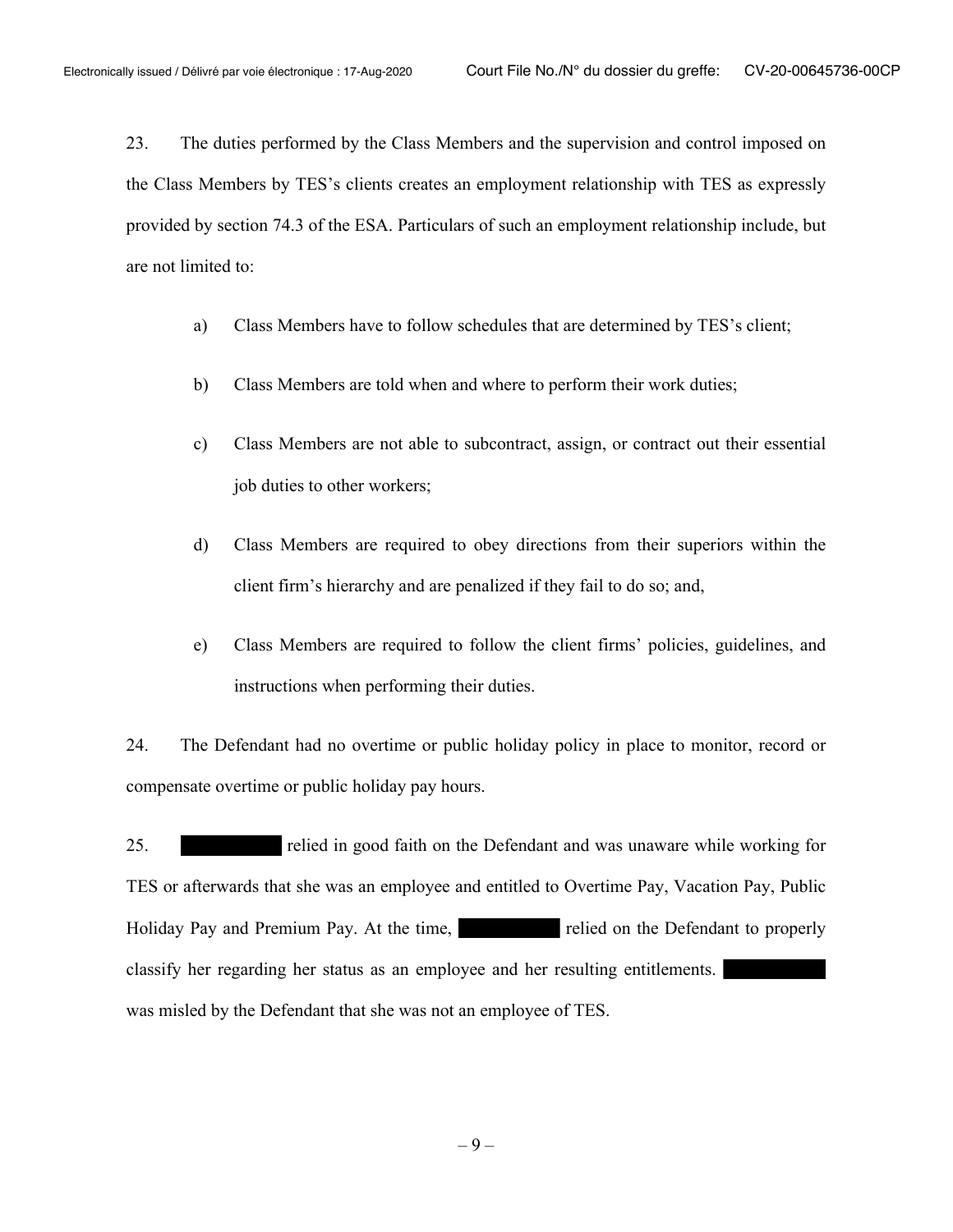23. The duties performed by the Class Members and the supervision and control imposed on the Class Members by TES's clients creates an employment relationship with TES as expressly provided by section 74.3 of the ESA. Particulars of such an employment relationship include, but are not limited to:

- a) Class Members have to follow schedules that are determined by TES's client;
- b) Class Members are told when and where to perform their work duties;
- c) Class Members are not able to subcontract, assign, or contract out their essential job duties to other workers;
- d) Class Members are required to obey directions from their superiors within the client firm's hierarchy and are penalized if they fail to do so; and,
- e) Class Members are required to follow the client firms' policies, guidelines, and instructions when performing their duties.

24. The Defendant had no overtime or public holiday policy in place to monitor, record or compensate overtime or public holiday pay hours.

25. relied in good faith on the Defendant and was unaware while working for TES or afterwards that she was an employee and entitled to Overtime Pay, Vacation Pay, Public Holiday Pay and Premium Pay. At the time, relied on the Defendant to properly classify her regarding her status as an employee and her resulting entitlements. was misled by the Defendant that she was not an employee of TES.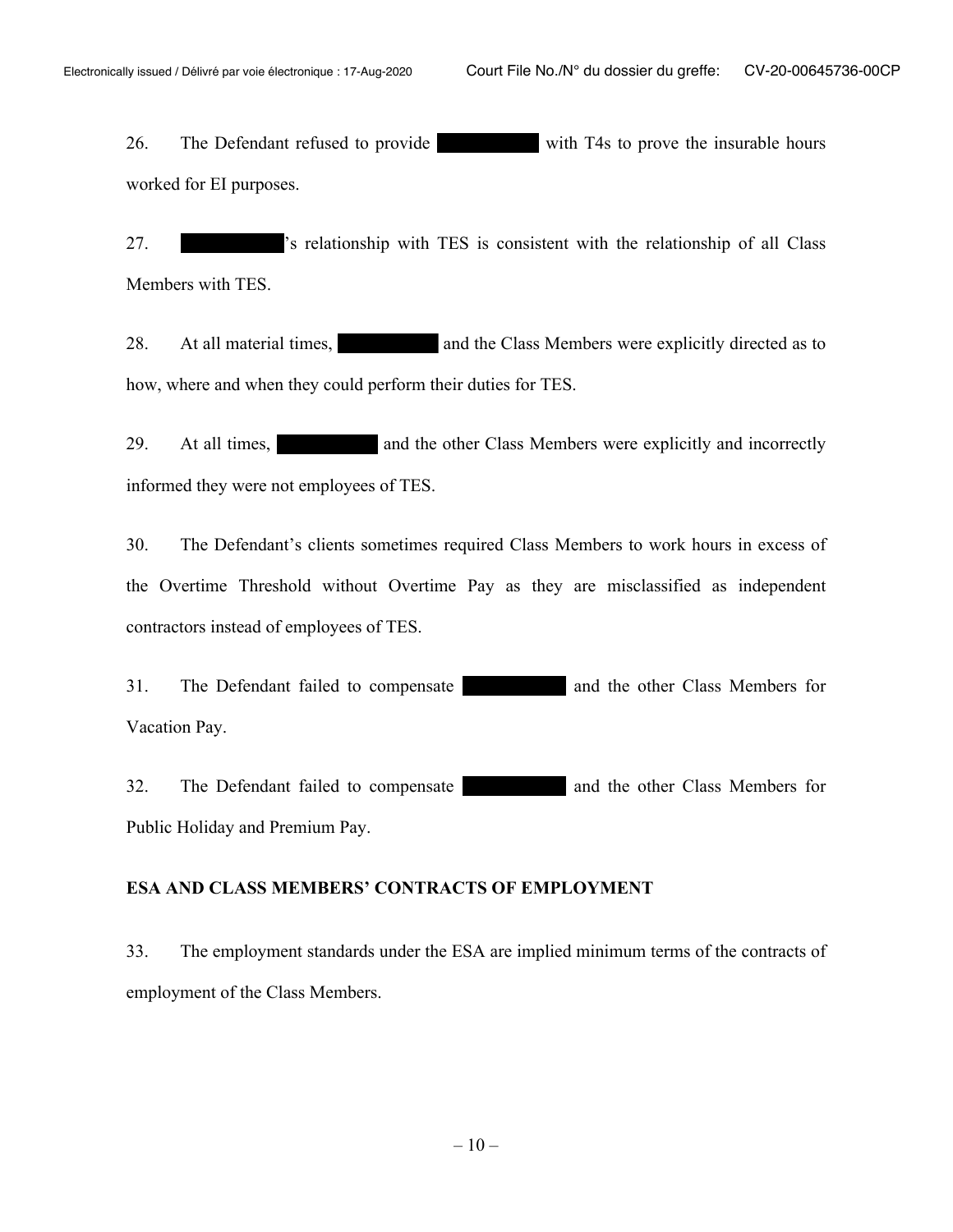26. The Defendant refused to provide with T4s to prove the insurable hours worked for EI purposes.

27. 's relationship with TES is consistent with the relationship of all Class Members with TES.

28. At all material times, and the Class Members were explicitly directed as to how, where and when they could perform their duties for TES.

29. At all times, and the other Class Members were explicitly and incorrectly informed they were not employees of TES.

30. The Defendant's clients sometimes required Class Members to work hours in excess of the Overtime Threshold without Overtime Pay as they are misclassified as independent contractors instead of employees of TES.

31. The Defendant failed to compensate and the other Class Members for Vacation Pay.

32. The Defendant failed to compensate and the other Class Members for Public Holiday and Premium Pay.

#### **ESA AND CLASS MEMBERS' CONTRACTS OF EMPLOYMENT**

33. The employment standards under the ESA are implied minimum terms of the contracts of employment of the Class Members.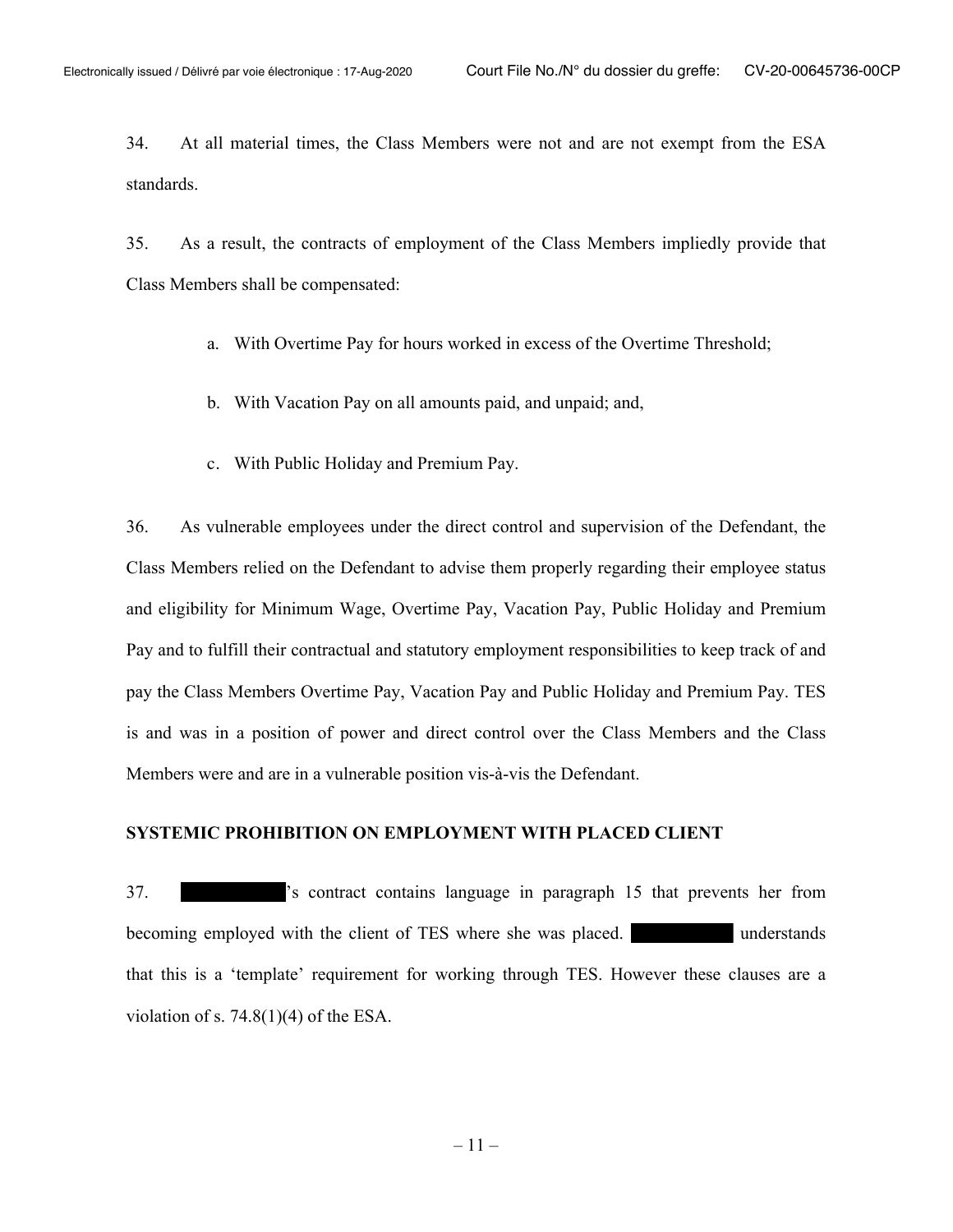34. At all material times, the Class Members were not and are not exempt from the ESA standards.

35. As a result, the contracts of employment of the Class Members impliedly provide that Class Members shall be compensated:

- a. With Overtime Pay for hours worked in excess of the Overtime Threshold;
- b. With Vacation Pay on all amounts paid, and unpaid; and,
- c. With Public Holiday and Premium Pay.

36. As vulnerable employees under the direct control and supervision of the Defendant, the Class Members relied on the Defendant to advise them properly regarding their employee status and eligibility for Minimum Wage, Overtime Pay, Vacation Pay, Public Holiday and Premium Pay and to fulfill their contractual and statutory employment responsibilities to keep track of and pay the Class Members Overtime Pay, Vacation Pay and Public Holiday and Premium Pay. TES is and was in a position of power and direct control over the Class Members and the Class Members were and are in a vulnerable position vis-à-vis the Defendant.

### **SYSTEMIC PROHIBITION ON EMPLOYMENT WITH PLACED CLIENT**

37. 's contract contains language in paragraph 15 that prevents her from becoming employed with the client of TES where she was placed. The understands that this is a 'template' requirement for working through TES. However these clauses are a violation of s.  $74.8(1)(4)$  of the ESA.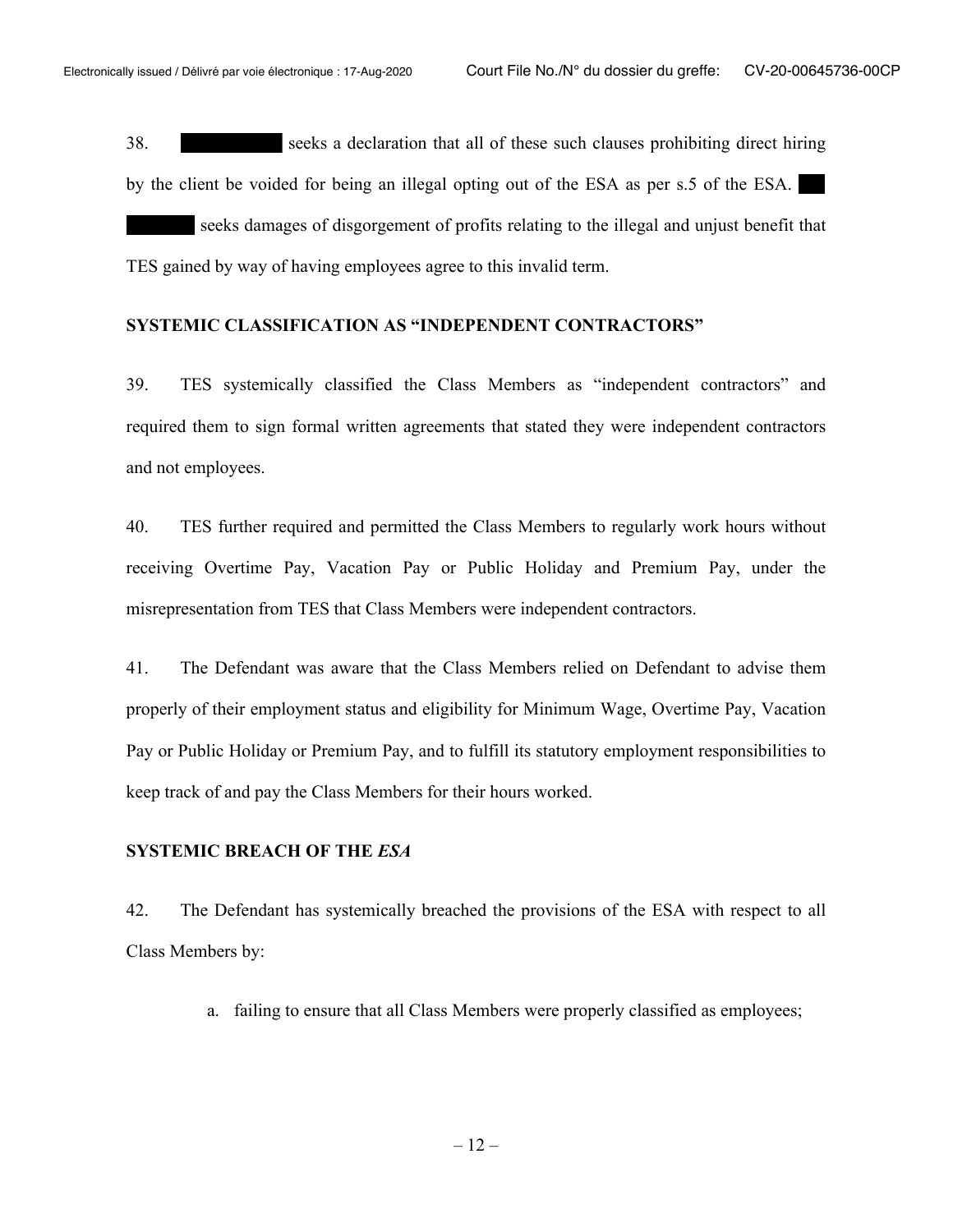38. seeks a declaration that all of these such clauses prohibiting direct hiring by the client be voided for being an illegal opting out of the ESA as per s.5 of the ESA. seeks damages of disgorgement of profits relating to the illegal and unjust benefit that TES gained by way of having employees agree to this invalid term.

#### **SYSTEMIC CLASSIFICATION AS "INDEPENDENT CONTRACTORS"**

39. TES systemically classified the Class Members as "independent contractors" and required them to sign formal written agreements that stated they were independent contractors and not employees.

40. TES further required and permitted the Class Members to regularly work hours without receiving Overtime Pay, Vacation Pay or Public Holiday and Premium Pay, under the misrepresentation from TES that Class Members were independent contractors.

41. The Defendant was aware that the Class Members relied on Defendant to advise them properly of their employment status and eligibility for Minimum Wage, Overtime Pay, Vacation Pay or Public Holiday or Premium Pay, and to fulfill its statutory employment responsibilities to keep track of and pay the Class Members for their hours worked.

#### **SYSTEMIC BREACH OF THE** *ESA*

42. The Defendant has systemically breached the provisions of the ESA with respect to all Class Members by:

a. failing to ensure that all Class Members were properly classified as employees;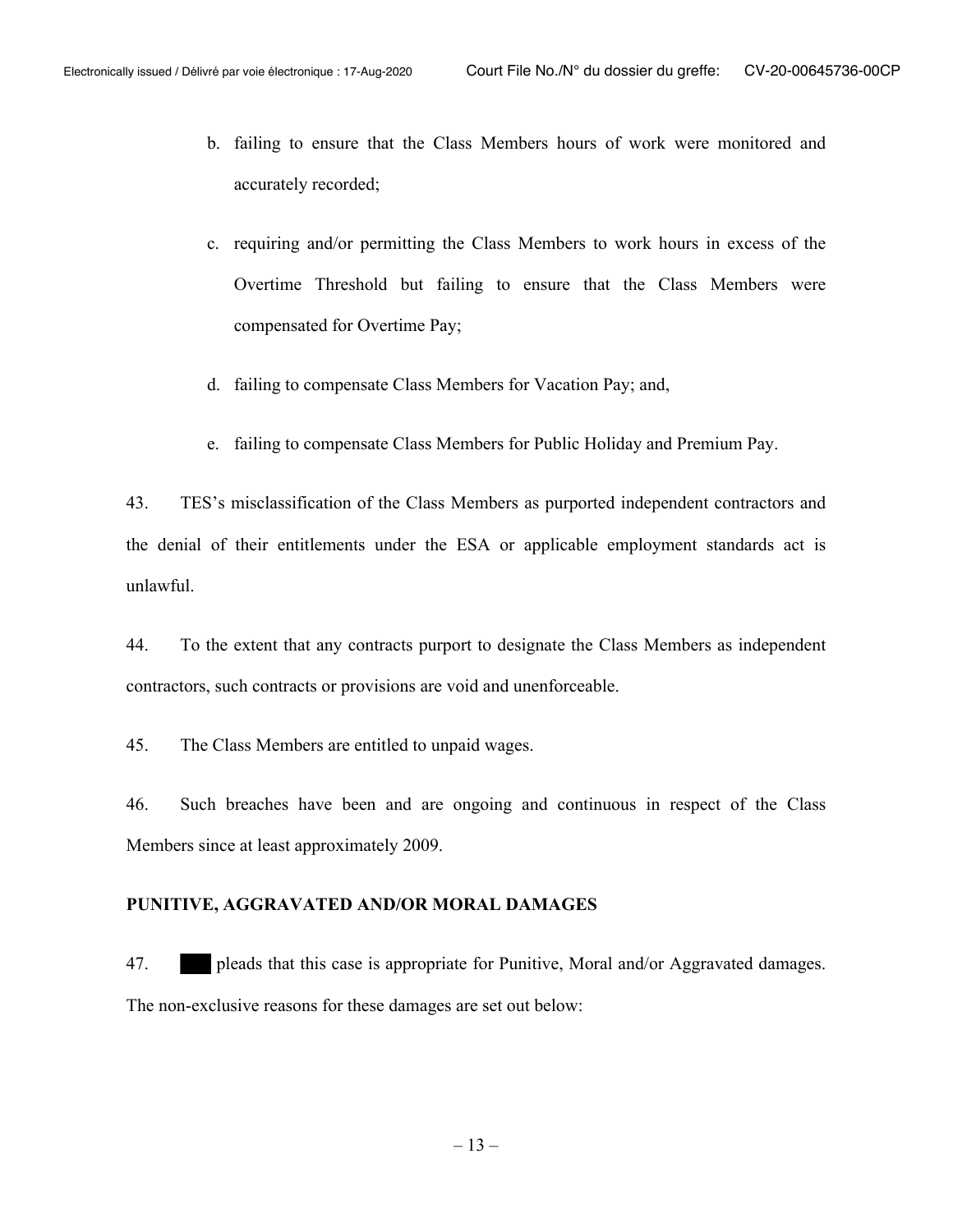- b. failing to ensure that the Class Members hours of work were monitored and accurately recorded;
- c. requiring and/or permitting the Class Members to work hours in excess of the Overtime Threshold but failing to ensure that the Class Members were compensated for Overtime Pay;
- d. failing to compensate Class Members for Vacation Pay; and,
- e. failing to compensate Class Members for Public Holiday and Premium Pay.

43. TES's misclassification of the Class Members as purported independent contractors and the denial of their entitlements under the ESA or applicable employment standards act is unlawful.

44. To the extent that any contracts purport to designate the Class Members as independent contractors, such contracts or provisions are void and unenforceable.

45. The Class Members are entitled to unpaid wages.

46. Such breaches have been and are ongoing and continuous in respect of the Class Members since at least approximately 2009.

### **PUNITIVE, AGGRAVATED AND/OR MORAL DAMAGES**

47. pleads that this case is appropriate for Punitive, Moral and/or Aggravated damages. The non-exclusive reasons for these damages are set out below: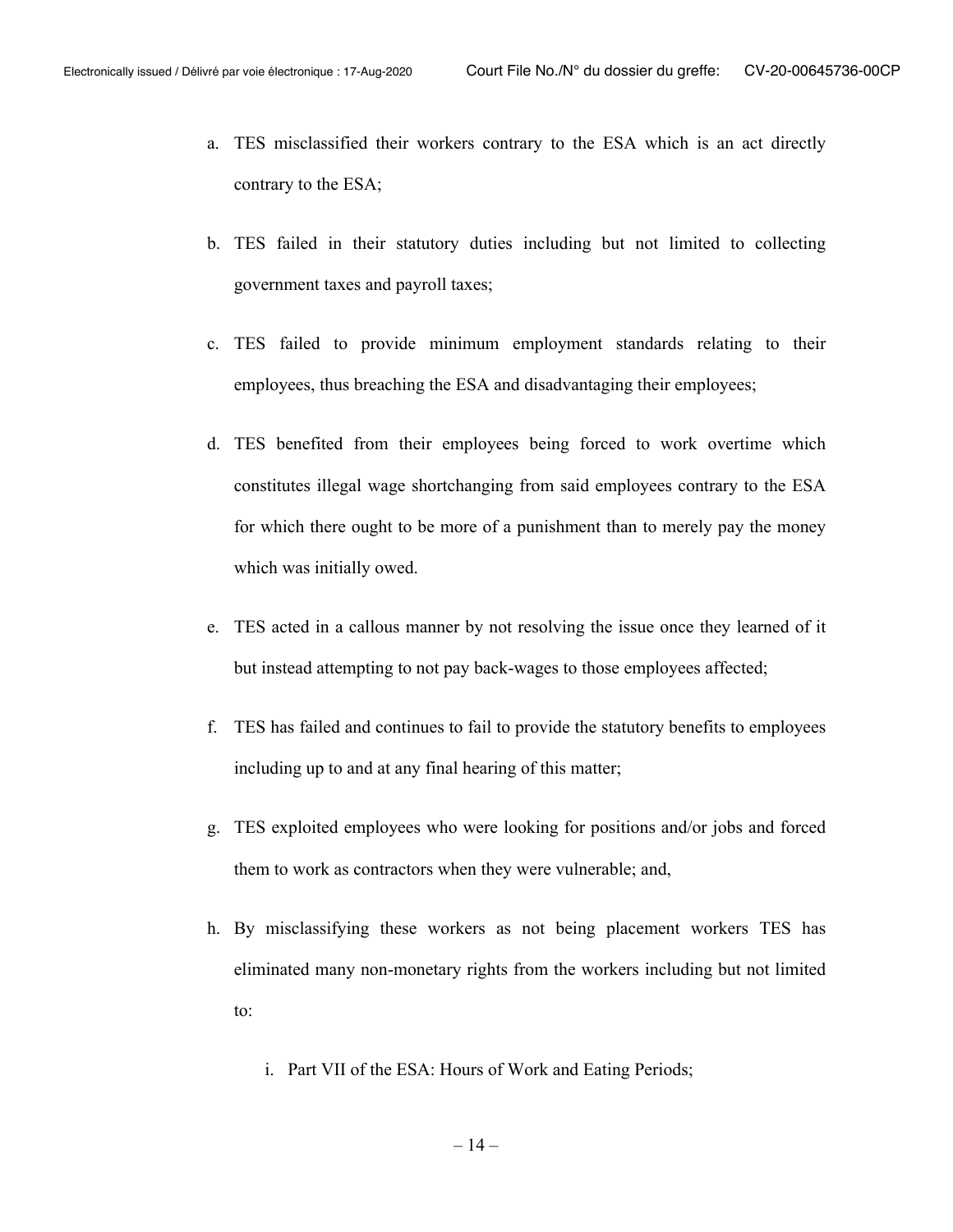- a. TES misclassified their workers contrary to the ESA which is an act directly contrary to the ESA;
- b. TES failed in their statutory duties including but not limited to collecting government taxes and payroll taxes;
- c. TES failed to provide minimum employment standards relating to their employees, thus breaching the ESA and disadvantaging their employees;
- d. TES benefited from their employees being forced to work overtime which constitutes illegal wage shortchanging from said employees contrary to the ESA for which there ought to be more of a punishment than to merely pay the money which was initially owed.
- e. TES acted in a callous manner by not resolving the issue once they learned of it but instead attempting to not pay back-wages to those employees affected;
- f. TES has failed and continues to fail to provide the statutory benefits to employees including up to and at any final hearing of this matter;
- g. TES exploited employees who were looking for positions and/or jobs and forced them to work as contractors when they were vulnerable; and,
- h. By misclassifying these workers as not being placement workers TES has eliminated many non-monetary rights from the workers including but not limited to:
	- i. Part VII of the ESA: Hours of Work and Eating Periods;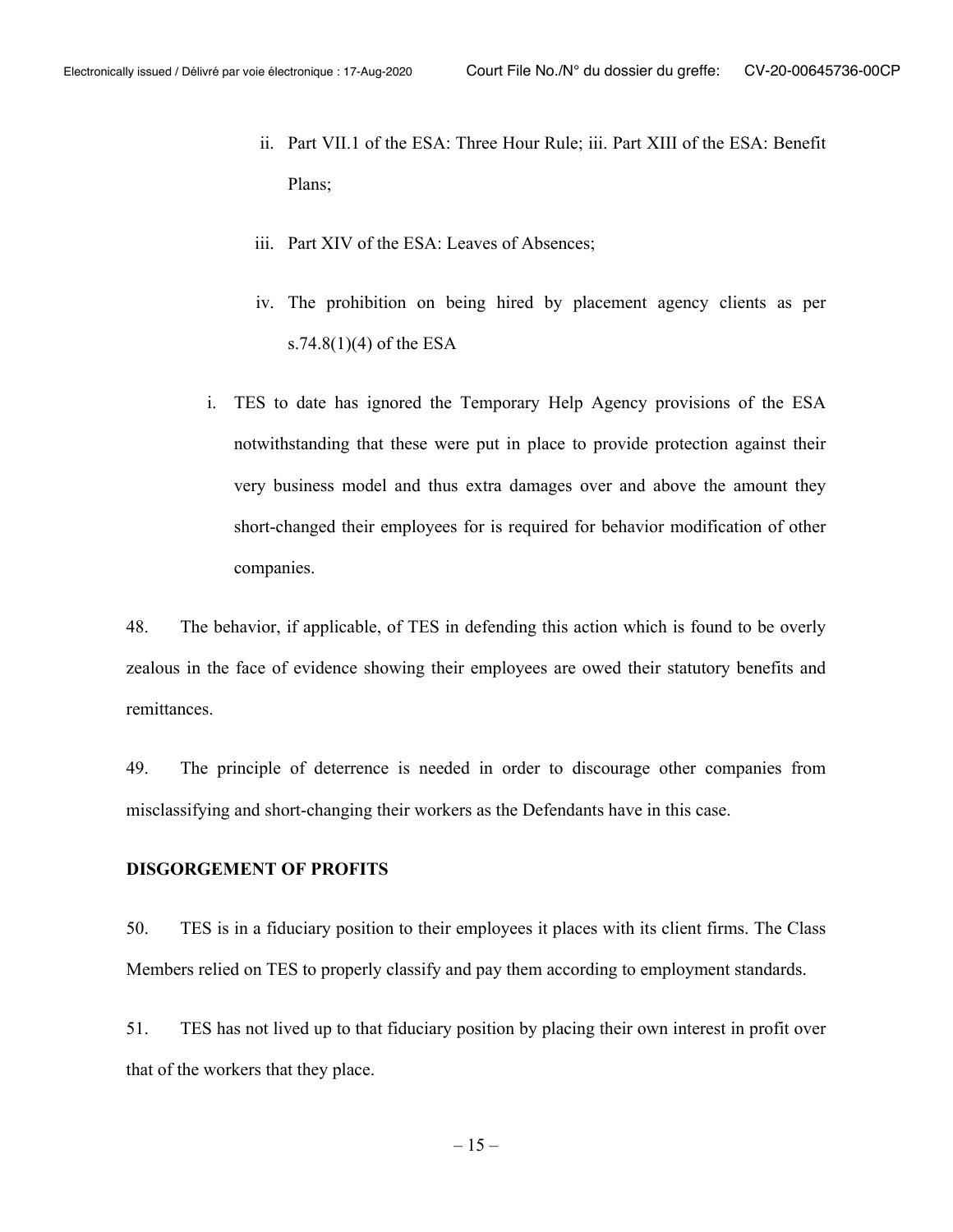- ii. Part VII.1 of the ESA: Three Hour Rule; iii. Part XIII of the ESA: Benefit Plans;
- iii. Part XIV of the ESA: Leaves of Absences;
- iv. The prohibition on being hired by placement agency clients as per s.74.8(1)(4) of the ESA
- i. TES to date has ignored the Temporary Help Agency provisions of the ESA notwithstanding that these were put in place to provide protection against their very business model and thus extra damages over and above the amount they short-changed their employees for is required for behavior modification of other companies.

48. The behavior, if applicable, of TES in defending this action which is found to be overly zealous in the face of evidence showing their employees are owed their statutory benefits and remittances.

49. The principle of deterrence is needed in order to discourage other companies from misclassifying and short-changing their workers as the Defendants have in this case.

### **DISGORGEMENT OF PROFITS**

50. TES is in a fiduciary position to their employees it places with its client firms. The Class Members relied on TES to properly classify and pay them according to employment standards.

51. TES has not lived up to that fiduciary position by placing their own interest in profit over that of the workers that they place.

 $-15-$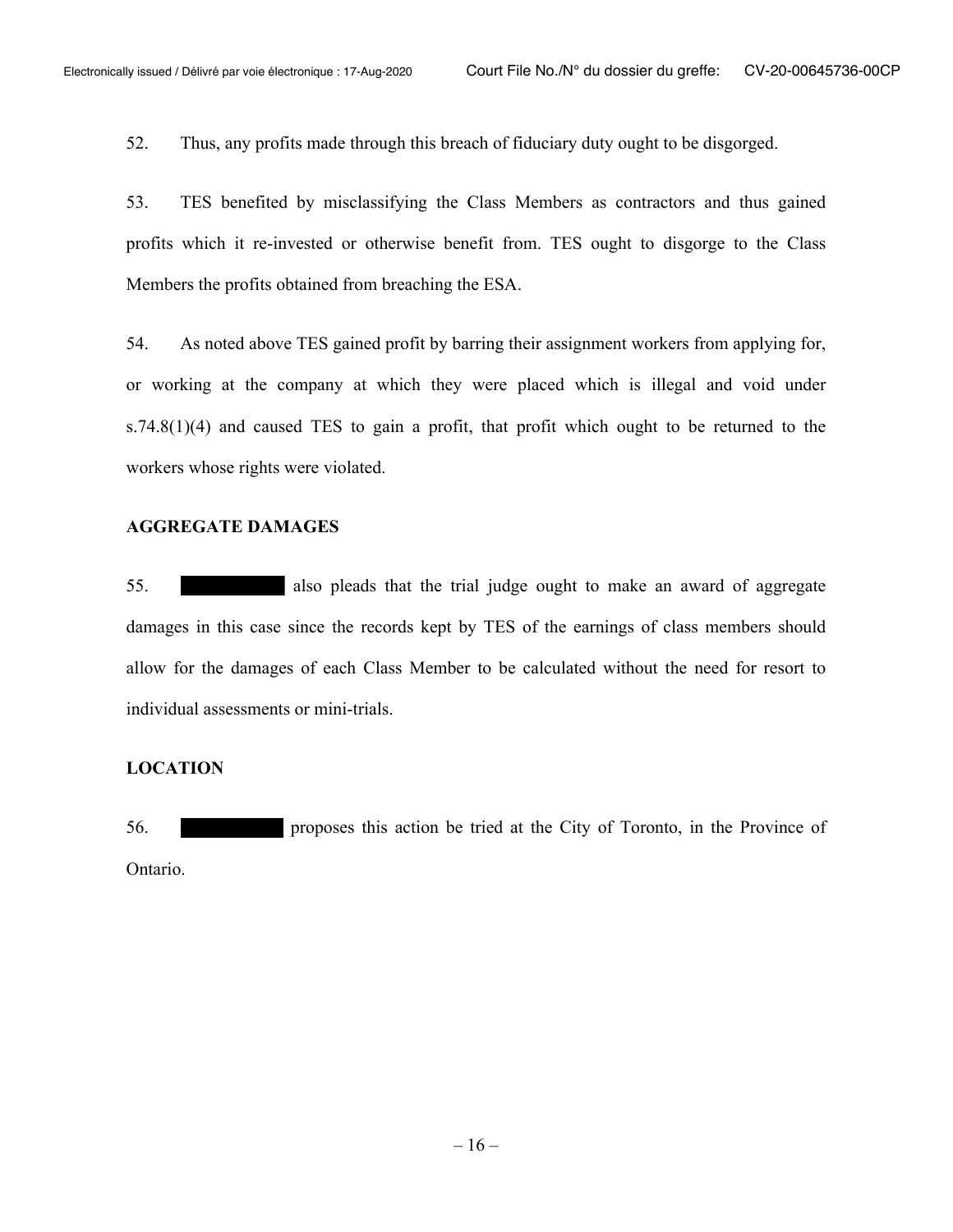52. Thus, any profits made through this breach of fiduciary duty ought to be disgorged.

53. TES benefited by misclassifying the Class Members as contractors and thus gained profits which it re-invested or otherwise benefit from. TES ought to disgorge to the Class Members the profits obtained from breaching the ESA.

54. As noted above TES gained profit by barring their assignment workers from applying for, or working at the company at which they were placed which is illegal and void under  $s.74.8(1)(4)$  and caused TES to gain a profit, that profit which ought to be returned to the workers whose rights were violated.

#### **AGGREGATE DAMAGES**

55. also pleads that the trial judge ought to make an award of aggregate damages in this case since the records kept by TES of the earnings of class members should allow for the damages of each Class Member to be calculated without the need for resort to individual assessments or mini-trials.

#### **LOCATION**

56. proposes this action be tried at the City of Toronto, in the Province of Ontario.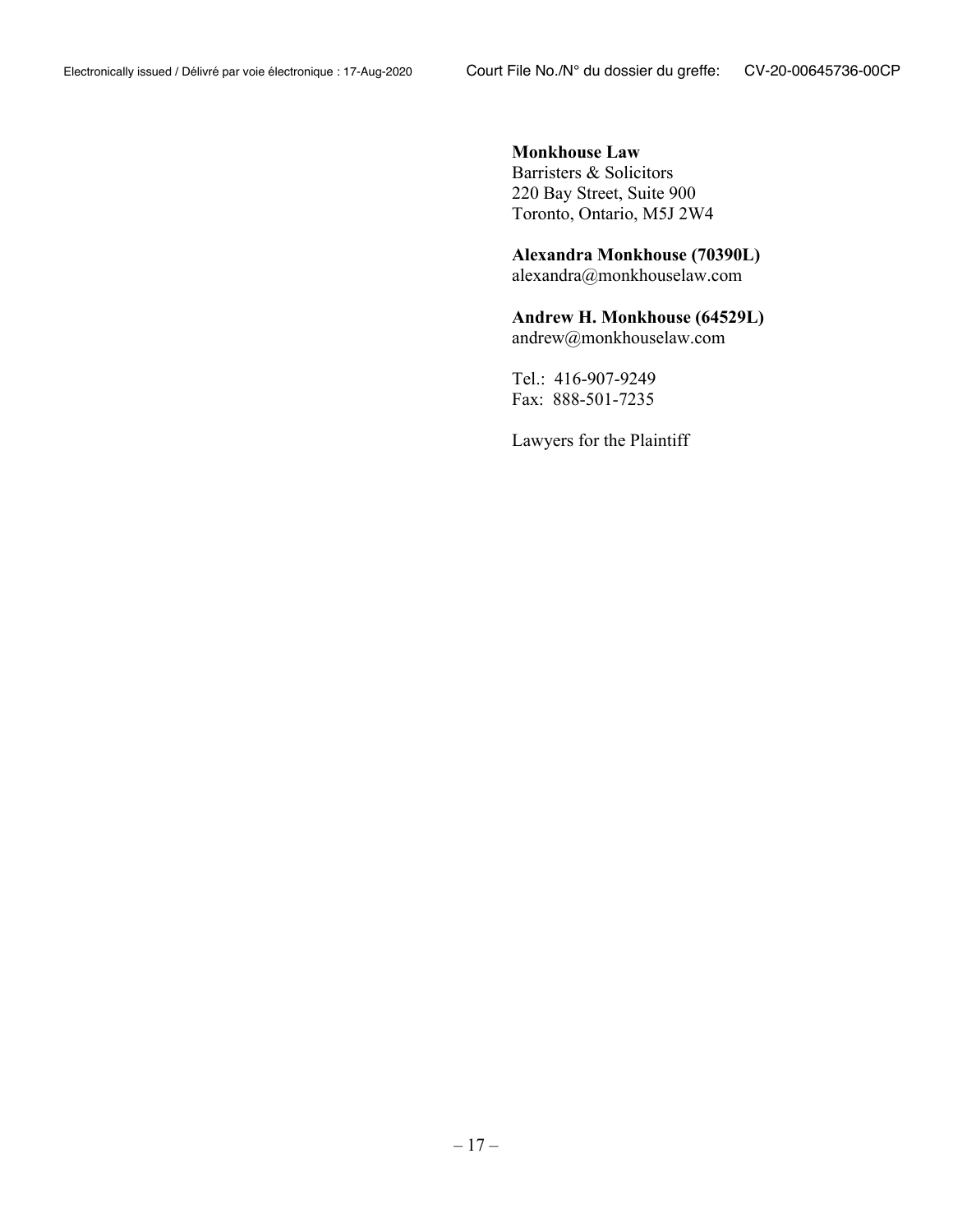## **Monkhouse Law** Barristers & Solicitors 220 Bay Street, Suite 900 Toronto, Ontario, M5J 2W4

## **Alexandra Monkhouse (70390L)**

alexandra@monkhouselaw.com

# **Andrew H. Monkhouse (64529L)**

andrew@monkhouselaw.com

Tel.: 416-907-9249 Fax: 888-501-7235

Lawyers for the Plaintiff